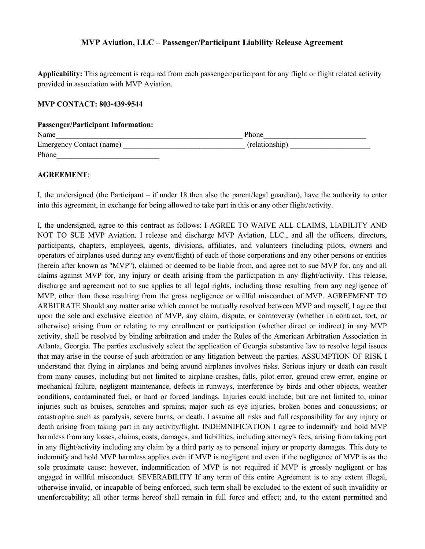## MVP Aviation, LLC – Passenger/Participant Liability Release Agreement

Applicability: This agreement is required from each passenger/participant for any flight or flight related activity provided in association with MVP Aviation.

## MVP CONTACT: 803-439-9544

## Passenger/Participant Information:

| Name                     | Phone          |  |
|--------------------------|----------------|--|
| Emergency Contact (name) | (relationship) |  |
| Phone                    |                |  |

## AGREEMENT:

I, the undersigned (the Participant – if under 18 then also the parent/legal guardian), have the authority to enter into this agreement, in exchange for being allowed to take part in this or any other flight/activity.

I, the undersigned, agree to this contract as follows: I AGREE TO WAIVE ALL CLAIMS, LIABILITY AND NOT TO SUE MVP Aviation. I release and discharge MVP Aviation, LLC., and all the officers, directors, participants, chapters, employees, agents, divisions, affiliates, and volunteers (including pilots, owners and operators of airplanes used during any event/flight) of each of those corporations and any other persons or entities (herein after known as "MVP"), claimed or deemed to be liable from, and agree not to sue MVP for, any and all claims against MVP for, any injury or death arising from the participation in any flight/activity. This release, discharge and agreement not to sue applies to all legal rights, including those resulting from any negligence of MVP, other than those resulting from the gross negligence or willful misconduct of MVP. AGREEMENT TO ARBITRATE Should any matter arise which cannot be mutually resolved between MVP and myself, I agree that upon the sole and exclusive election of MVP, any claim, dispute, or controversy (whether in contract, tort, or otherwise) arising from or relating to my enrollment or participation (whether direct or indirect) in any MVP activity, shall be resolved by binding arbitration and under the Rules of the American Arbitration Association in Atlanta, Georgia. The parties exclusively select the application of Georgia substantive law to resolve legal issues that may arise in the course of such arbitration or any litigation between the parties. ASSUMPTION OF RISK I understand that flying in airplanes and being around airplanes involves risks. Serious injury or death can result from many causes, including but not limited to airplane crashes, falls, pilot error, ground crew error, engine or mechanical failure, negligent maintenance, defects in runways, interference by birds and other objects, weather conditions, contaminated fuel, or hard or forced landings. Injuries could include, but are not limited to, minor injuries such as bruises, scratches and sprains; major such as eye injuries, broken bones and concussions; or catastrophic such as paralysis, severe burns, or death. I assume all risks and full responsibility for any injury or death arising from taking part in any activity/flight. INDEMNIFICATION I agree to indemnify and hold MVP harmless from any losses, claims, costs, damages, and liabilities, including attorney's fees, arising from taking part in any flight/activity including any claim by a third party as to personal injury or property damages. This duty to indemnify and hold MVP harmless applies even if MVP is negligent and even if the negligence of MVP is as the sole proximate cause: however, indemnification of MVP is not required if MVP is grossly negligent or has engaged in willful misconduct. SEVERABILITY If any term of this entire Agreement is to any extent illegal, otherwise invalid, or incapable of being enforced, such term shall be excluded to the extent of such invalidity or unenforceability; all other terms hereof shall remain in full force and effect; and, to the extent permitted and